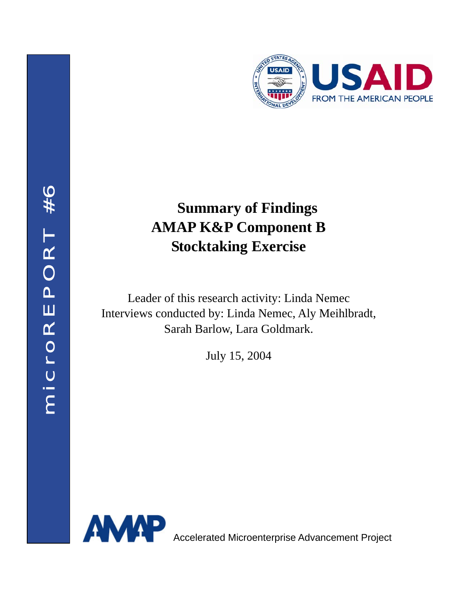

# **Summary of Findings AMAP K&P Component B Stocktaking Exercise**

Leader of this research activity: Linda Nemec Interviews conducted by: Linda Nemec, Aly Meihlbradt, Sarah Barlow, Lara Goldmark.

July 15, 2004

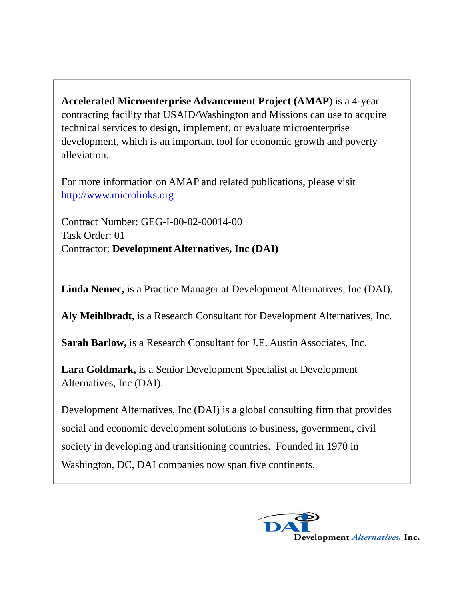**Accelerated Microenterprise Advancement Project (AMAP**) is a 4-year contracting facility that USAID/Washington and Missions can use to acquire technical services to design, implement, or evaluate microenterprise development, which is an important tool for economic growth and poverty alleviation.

For more information on AMAP and related publications, please visit http://www.microlinks.org

Contract Number: GEG-I-00-02-00014-00 Task Order: 01 Contractor: **Development Alternatives, Inc (DAI)** 

**Linda Nemec,** is a Practice Manager at Development Alternatives, Inc (DAI).

**Aly Meihlbradt,** is a Research Consultant for Development Alternatives, Inc.

**Sarah Barlow,** is a Research Consultant for J.E. Austin Associates, Inc.

**Lara Goldmark,** is a Senior Development Specialist at Development Alternatives, Inc (DAI).

Development Alternatives, Inc (DAI) is a global consulting firm that provides social and economic development solutions to business, government, civil society in developing and transitioning countries. Founded in 1970 in Washington, DC, DAI companies now span five continents.

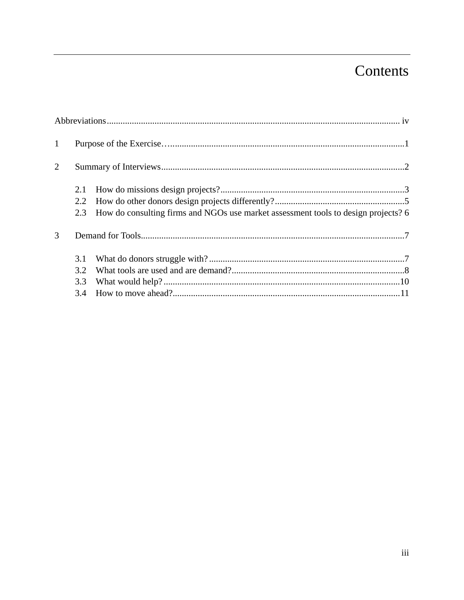## Contents

| $\mathbf{1}$   |                          |                                                                                    |  |  |  |  |
|----------------|--------------------------|------------------------------------------------------------------------------------|--|--|--|--|
| $\overline{2}$ |                          |                                                                                    |  |  |  |  |
|                | 2.1<br>2.2<br>2.3        | How do consulting firms and NGOs use market assessment tools to design projects? 6 |  |  |  |  |
| 3              |                          |                                                                                    |  |  |  |  |
|                | 3.1<br>3.2<br>3.3<br>3.4 |                                                                                    |  |  |  |  |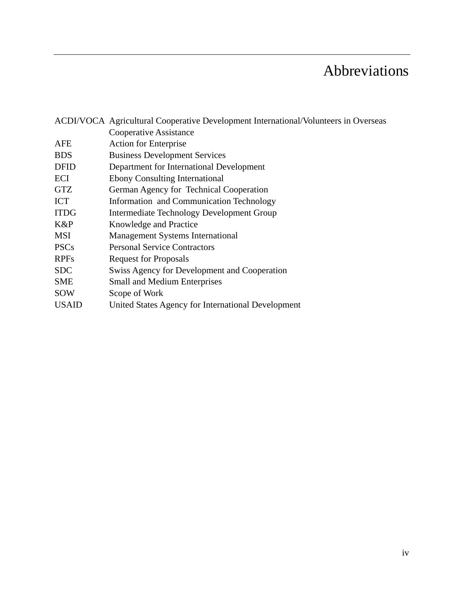# Abbreviations

|              | ACDI/VOCA Agricultural Cooperative Development International/Volunteers in Overseas |  |  |  |  |
|--------------|-------------------------------------------------------------------------------------|--|--|--|--|
|              | Cooperative Assistance                                                              |  |  |  |  |
| AFE          | <b>Action for Enterprise</b>                                                        |  |  |  |  |
| <b>BDS</b>   | <b>Business Development Services</b>                                                |  |  |  |  |
| <b>DFID</b>  | Department for International Development                                            |  |  |  |  |
| ECI          | <b>Ebony Consulting International</b>                                               |  |  |  |  |
| <b>GTZ</b>   | German Agency for Technical Cooperation                                             |  |  |  |  |
| ICT          | Information and Communication Technology                                            |  |  |  |  |
| <b>ITDG</b>  | <b>Intermediate Technology Development Group</b>                                    |  |  |  |  |
| $K\&P$       | Knowledge and Practice                                                              |  |  |  |  |
| <b>MSI</b>   | <b>Management Systems International</b>                                             |  |  |  |  |
| <b>PSCs</b>  | <b>Personal Service Contractors</b>                                                 |  |  |  |  |
| <b>RPFs</b>  | <b>Request for Proposals</b>                                                        |  |  |  |  |
| <b>SDC</b>   | Swiss Agency for Development and Cooperation                                        |  |  |  |  |
| <b>SME</b>   | <b>Small and Medium Enterprises</b>                                                 |  |  |  |  |
| <b>SOW</b>   | Scope of Work                                                                       |  |  |  |  |
| <b>USAID</b> | United States Agency for International Development                                  |  |  |  |  |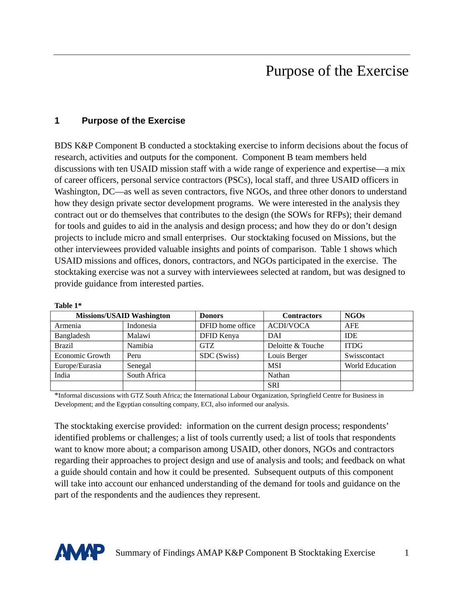## Purpose of the Exercise

#### **1 Purpose of the Exercise**

BDS K&P Component B conducted a stocktaking exercise to inform decisions about the focus of research, activities and outputs for the component. Component B team members held discussions with ten USAID mission staff with a wide range of experience and expertise—a mix of career officers, personal service contractors (PSCs), local staff, and three USAID officers in Washington, DC—as well as seven contractors, five NGOs, and three other donors to understand how they design private sector development programs. We were interested in the analysis they contract out or do themselves that contributes to the design (the SOWs for RFPs); their demand for tools and guides to aid in the analysis and design process; and how they do or don't design projects to include micro and small enterprises. Our stocktaking focused on Missions, but the other interviewees provided valuable insights and points of comparison. Table 1 shows which USAID missions and offices, donors, contractors, and NGOs participated in the exercise. The stocktaking exercise was not a survey with interviewees selected at random, but was designed to provide guidance from interested parties.

|                 | <b>Missions/USAID Washington</b> | <b>Donors</b>    | <b>Contractors</b> | <b>NGOs</b>     |
|-----------------|----------------------------------|------------------|--------------------|-----------------|
| Armenia         | Indonesia                        | DFID home office | <b>ACDI/VOCA</b>   | <b>AFE</b>      |
| Bangladesh      | Malawi                           | DFID Kenya       | DAI                | <b>IDE</b>      |
| <b>Brazil</b>   | Namibia                          | <b>GTZ</b>       | Deloitte & Touche  | <b>ITDG</b>     |
| Economic Growth | Peru                             | SDC (Swiss)      | Louis Berger       | Swisscontact    |
| Europe/Eurasia  | Senegal                          |                  | <b>MSI</b>         | World Education |
| India           | South Africa                     |                  | Nathan             |                 |
|                 |                                  |                  | <b>SRI</b>         |                 |

**Table 1\*** 

\*Informal discussions with GTZ South Africa; the International Labour Organization, Springfield Centre for Business in Development; and the Egyptian consulting company, ECI, also informed our analysis.

The stocktaking exercise provided: information on the current design process; respondents' identified problems or challenges; a list of tools currently used; a list of tools that respondents want to know more about; a comparison among USAID, other donors, NGOs and contractors regarding their approaches to project design and use of analysis and tools; and feedback on what a guide should contain and how it could be presented. Subsequent outputs of this component will take into account our enhanced understanding of the demand for tools and guidance on the part of the respondents and the audiences they represent.

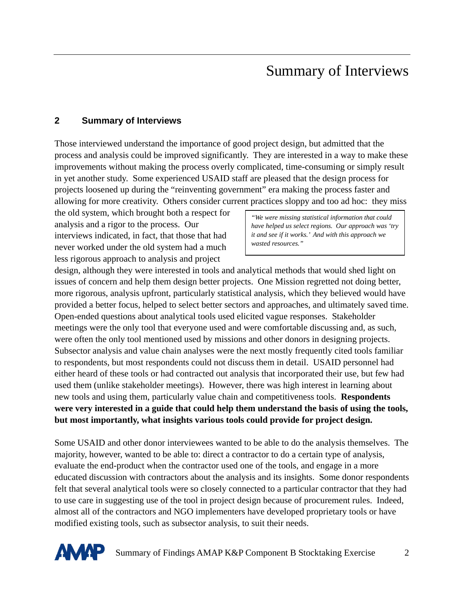## Summary of Interviews

#### **2 Summary of Interviews**

Those interviewed understand the importance of good project design, but admitted that the process and analysis could be improved significantly. They are interested in a way to make these improvements without making the process overly complicated, time-consuming or simply result in yet another study. Some experienced USAID staff are pleased that the design process for projects loosened up during the "reinventing government" era making the process faster and allowing for more creativity. Others consider current practices sloppy and too ad hoc: they miss

the old system, which brought both a respect for *"We were missing statistical information that could*  analysis and a rigor to the process. Our *have helped us select regions. Our approach was 'try*  interviews indicated, in fact, that those that had *it and see if it works.' And with this approach we*  never worked under the old system had a much less rigorous approach to analysis and project

design, although they were interested in tools and analytical methods that would shed light on issues of concern and help them design better projects. One Mission regretted not doing better, more rigorous, analysis upfront, particularly statistical analysis, which they believed would have provided a better focus, helped to select better sectors and approaches, and ultimately saved time. Open-ended questions about analytical tools used elicited vague responses. Stakeholder meetings were the only tool that everyone used and were comfortable discussing and, as such, were often the only tool mentioned used by missions and other donors in designing projects. Subsector analysis and value chain analyses were the next mostly frequently cited tools familiar to respondents, but most respondents could not discuss them in detail. USAID personnel had either heard of these tools or had contracted out analysis that incorporated their use, but few had used them (unlike stakeholder meetings). However, there was high interest in learning about new tools and using them, particularly value chain and competitiveness tools. **Respondents were very interested in a guide that could help them understand the basis of using the tools, but most importantly, what insights various tools could provide for project design.** 

Some USAID and other donor interviewees wanted to be able to do the analysis themselves. The majority, however, wanted to be able to: direct a contractor to do a certain type of analysis, evaluate the end-product when the contractor used one of the tools, and engage in a more educated discussion with contractors about the analysis and its insights. Some donor respondents felt that several analytical tools were so closely connected to a particular contractor that they had to use care in suggesting use of the tool in project design because of procurement rules. Indeed, almost all of the contractors and NGO implementers have developed proprietary tools or have modified existing tools, such as subsector analysis, to suit their needs.

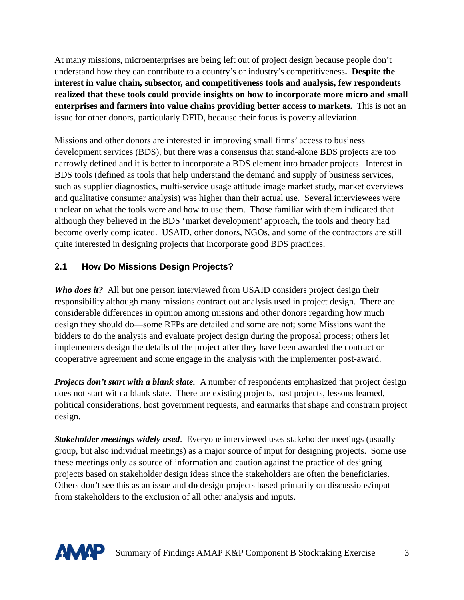At many missions, microenterprises are being left out of project design because people don't understand how they can contribute to a country's or industry's competitiveness**. Despite the interest in value chain, subsector, and competitiveness tools and analysis, few respondents realized that these tools could provide insights on how to incorporate more micro and small enterprises and farmers into value chains providing better access to markets.** This is not an issue for other donors, particularly DFID, because their focus is poverty alleviation.

Missions and other donors are interested in improving small firms' access to business development services (BDS), but there was a consensus that stand-alone BDS projects are too narrowly defined and it is better to incorporate a BDS element into broader projects. Interest in BDS tools (defined as tools that help understand the demand and supply of business services, such as supplier diagnostics, multi-service usage attitude image market study, market overviews and qualitative consumer analysis) was higher than their actual use. Several interviewees were unclear on what the tools were and how to use them. Those familiar with them indicated that although they believed in the BDS 'market development' approach, the tools and theory had become overly complicated. USAID, other donors, NGOs, and some of the contractors are still quite interested in designing projects that incorporate good BDS practices.

#### **2.1 How Do Missions Design Projects?**

*Who does it?* All but one person interviewed from USAID considers project design their responsibility although many missions contract out analysis used in project design. There are considerable differences in opinion among missions and other donors regarding how much design they should do—some RFPs are detailed and some are not; some Missions want the bidders to do the analysis and evaluate project design during the proposal process; others let implementers design the details of the project after they have been awarded the contract or cooperative agreement and some engage in the analysis with the implementer post-award.

*Projects don't start with a blank slate.* A number of respondents emphasized that project design does not start with a blank slate. There are existing projects, past projects, lessons learned, political considerations, host government requests, and earmarks that shape and constrain project design.

*Stakeholder meetings widely used*. Everyone interviewed uses stakeholder meetings (usually group, but also individual meetings) as a major source of input for designing projects. Some use these meetings only as source of information and caution against the practice of designing projects based on stakeholder design ideas since the stakeholders are often the beneficiaries. Others don't see this as an issue and **do** design projects based primarily on discussions/input from stakeholders to the exclusion of all other analysis and inputs.

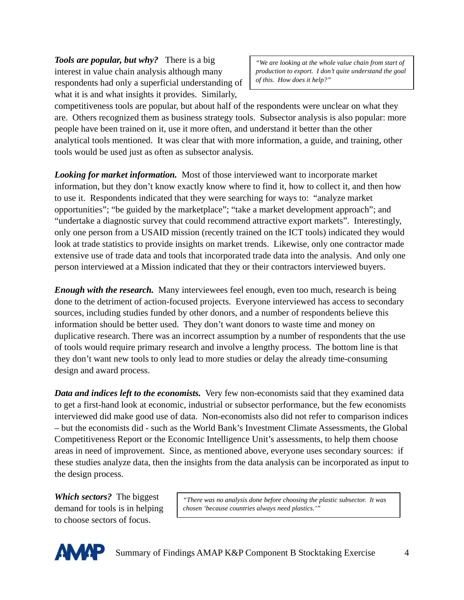*Tools are popular, but why?* There is a big *we are looking at the whole value chain from start of* interest in value chain analysis although many *production to export. I don't quite understand the goal*  respondents had only a superficial understanding of *of this. How does it help?"*  what it is and what insights it provides. Similarly,

competitiveness tools are popular, but about half of the respondents were unclear on what they are. Others recognized them as business strategy tools. Subsector analysis is also popular: more people have been trained on it, use it more often, and understand it better than the other analytical tools mentioned. It was clear that with more information, a guide, and training, other tools would be used just as often as subsector analysis.

*Looking for market information.* Most of those interviewed want to incorporate market information, but they don't know exactly know where to find it, how to collect it, and then how to use it. Respondents indicated that they were searching for ways to: "analyze market opportunities"; "be guided by the marketplace"; "take a market development approach"; and "undertake a diagnostic survey that could recommend attractive export markets". Interestingly, only one person from a USAID mission (recently trained on the ICT tools) indicated they would look at trade statistics to provide insights on market trends. Likewise, only one contractor made extensive use of trade data and tools that incorporated trade data into the analysis. And only one person interviewed at a Mission indicated that they or their contractors interviewed buyers.

*Enough with the research.* Many interviewees feel enough, even too much, research is being done to the detriment of action-focused projects. Everyone interviewed has access to secondary sources, including studies funded by other donors, and a number of respondents believe this information should be better used. They don't want donors to waste time and money on duplicative research. There was an incorrect assumption by a number of respondents that the use of tools would require primary research and involve a lengthy process. The bottom line is that they don't want new tools to only lead to more studies or delay the already time-consuming design and award process.

*Data and indices left to the economists.* Very few non-economists said that they examined data to get a first-hand look at economic, industrial or subsector performance, but the few economists interviewed did make good use of data. Non-economists also did not refer to comparison indices – but the economists did - such as the World Bank's Investment Climate Assessments, the Global Competitiveness Report or the Economic Intelligence Unit's assessments, to help them choose areas in need of improvement. Since, as mentioned above, everyone uses secondary sources: if these studies analyze data, then the insights from the data analysis can be incorporated as input to the design process.

to choose sectors of focus.

*Which sectors?* The biggest *"There was no analysis done before choosing the plastic subsector. It was* demand for tools is in helping *chosen 'because countries always need plastics.'"* 

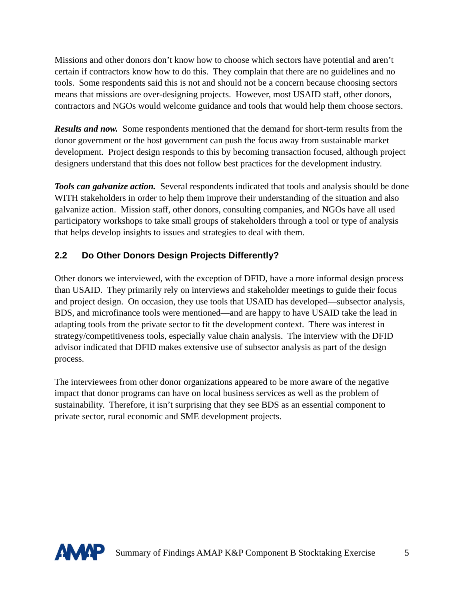Missions and other donors don't know how to choose which sectors have potential and aren't certain if contractors know how to do this. They complain that there are no guidelines and no tools. Some respondents said this is not and should not be a concern because choosing sectors means that missions are over-designing projects. However, most USAID staff, other donors, contractors and NGOs would welcome guidance and tools that would help them choose sectors.

*Results and now.* Some respondents mentioned that the demand for short-term results from the donor government or the host government can push the focus away from sustainable market development. Project design responds to this by becoming transaction focused, although project designers understand that this does not follow best practices for the development industry.

*Tools can galvanize action.* Several respondents indicated that tools and analysis should be done WITH stakeholders in order to help them improve their understanding of the situation and also galvanize action. Mission staff, other donors, consulting companies, and NGOs have all used participatory workshops to take small groups of stakeholders through a tool or type of analysis that helps develop insights to issues and strategies to deal with them.

### **2.2 Do Other Donors Design Projects Differently?**

Other donors we interviewed, with the exception of DFID, have a more informal design process than USAID. They primarily rely on interviews and stakeholder meetings to guide their focus and project design. On occasion, they use tools that USAID has developed—subsector analysis, BDS, and microfinance tools were mentioned—and are happy to have USAID take the lead in adapting tools from the private sector to fit the development context. There was interest in strategy/competitiveness tools, especially value chain analysis. The interview with the DFID advisor indicated that DFID makes extensive use of subsector analysis as part of the design process.

The interviewees from other donor organizations appeared to be more aware of the negative impact that donor programs can have on local business services as well as the problem of sustainability. Therefore, it isn't surprising that they see BDS as an essential component to private sector, rural economic and SME development projects.

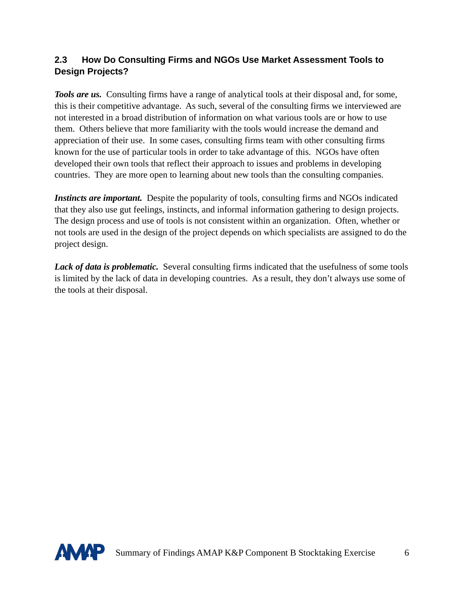#### **2.3 How Do Consulting Firms and NGOs Use Market Assessment Tools to Design Projects?**

*Tools are us.* Consulting firms have a range of analytical tools at their disposal and, for some, this is their competitive advantage. As such, several of the consulting firms we interviewed are not interested in a broad distribution of information on what various tools are or how to use them. Others believe that more familiarity with the tools would increase the demand and appreciation of their use. In some cases, consulting firms team with other consulting firms known for the use of particular tools in order to take advantage of this. NGOs have often developed their own tools that reflect their approach to issues and problems in developing countries. They are more open to learning about new tools than the consulting companies.

*Instincts are important.* Despite the popularity of tools, consulting firms and NGOs indicated that they also use gut feelings, instincts, and informal information gathering to design projects. The design process and use of tools is not consistent within an organization. Often, whether or not tools are used in the design of the project depends on which specialists are assigned to do the project design.

Lack of data is problematic. Several consulting firms indicated that the usefulness of some tools is limited by the lack of data in developing countries. As a result, they don't always use some of the tools at their disposal.

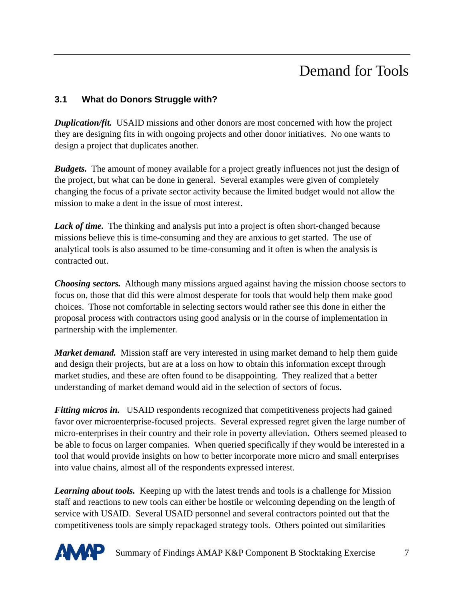# Demand for Tools

#### **3.1 What do Donors Struggle with?**

*Duplication/fit.* USAID missions and other donors are most concerned with how the project they are designing fits in with ongoing projects and other donor initiatives. No one wants to design a project that duplicates another.

*Budgets.* The amount of money available for a project greatly influences not just the design of the project, but what can be done in general. Several examples were given of completely changing the focus of a private sector activity because the limited budget would not allow the mission to make a dent in the issue of most interest.

Lack of time. The thinking and analysis put into a project is often short-changed because missions believe this is time-consuming and they are anxious to get started. The use of analytical tools is also assumed to be time-consuming and it often is when the analysis is contracted out.

*Choosing sectors.* Although many missions argued against having the mission choose sectors to focus on, those that did this were almost desperate for tools that would help them make good choices. Those not comfortable in selecting sectors would rather see this done in either the proposal process with contractors using good analysis or in the course of implementation in partnership with the implementer.

*Market demand.* Mission staff are very interested in using market demand to help them guide and design their projects, but are at a loss on how to obtain this information except through market studies, and these are often found to be disappointing. They realized that a better understanding of market demand would aid in the selection of sectors of focus.

*Fitting micros in.* USAID respondents recognized that competitiveness projects had gained favor over microenterprise-focused projects. Several expressed regret given the large number of micro-enterprises in their country and their role in poverty alleviation. Others seemed pleased to be able to focus on larger companies. When queried specifically if they would be interested in a tool that would provide insights on how to better incorporate more micro and small enterprises into value chains, almost all of the respondents expressed interest.

*Learning about tools.* Keeping up with the latest trends and tools is a challenge for Mission staff and reactions to new tools can either be hostile or welcoming depending on the length of service with USAID. Several USAID personnel and several contractors pointed out that the competitiveness tools are simply repackaged strategy tools. Others pointed out similarities

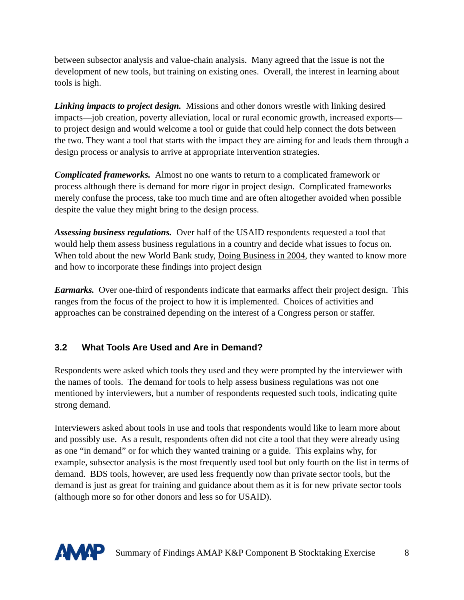between subsector analysis and value-chain analysis. Many agreed that the issue is not the development of new tools, but training on existing ones. Overall, the interest in learning about tools is high.

*Linking impacts to project design.* Missions and other donors wrestle with linking desired impacts—job creation, poverty alleviation, local or rural economic growth, increased exports to project design and would welcome a tool or guide that could help connect the dots between the two. They want a tool that starts with the impact they are aiming for and leads them through a design process or analysis to arrive at appropriate intervention strategies.

*Complicated frameworks.* Almost no one wants to return to a complicated framework or process although there is demand for more rigor in project design. Complicated frameworks merely confuse the process, take too much time and are often altogether avoided when possible despite the value they might bring to the design process.

*Assessing business regulations.* Over half of the USAID respondents requested a tool that would help them assess business regulations in a country and decide what issues to focus on. When told about the new World Bank study, Doing Business in 2004, they wanted to know more and how to incorporate these findings into project design

*Earmarks.* Over one-third of respondents indicate that earmarks affect their project design. This ranges from the focus of the project to how it is implemented. Choices of activities and approaches can be constrained depending on the interest of a Congress person or staffer.

### **3.2 What Tools Are Used and Are in Demand?**

Respondents were asked which tools they used and they were prompted by the interviewer with the names of tools. The demand for tools to help assess business regulations was not one mentioned by interviewers, but a number of respondents requested such tools, indicating quite strong demand.

Interviewers asked about tools in use and tools that respondents would like to learn more about and possibly use. As a result, respondents often did not cite a tool that they were already using as one "in demand" or for which they wanted training or a guide. This explains why, for example, subsector analysis is the most frequently used tool but only fourth on the list in terms of demand. BDS tools, however, are used less frequently now than private sector tools, but the demand is just as great for training and guidance about them as it is for new private sector tools (although more so for other donors and less so for USAID).

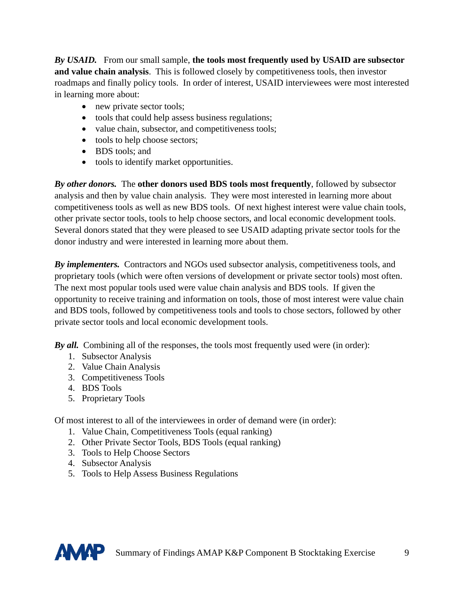*By USAID.* From our small sample, **the tools most frequently used by USAID are subsector and value chain analysis**. This is followed closely by competitiveness tools, then investor roadmaps and finally policy tools. In order of interest, USAID interviewees were most interested in learning more about:

- new private sector tools;
- tools that could help assess business regulations;
- value chain, subsector, and competitiveness tools;
- tools to help choose sectors;
- BDS tools: and
- tools to identify market opportunities.

*By other donors.* The **other donors used BDS tools most frequently**, followed by subsector analysis and then by value chain analysis. They were most interested in learning more about competitiveness tools as well as new BDS tools. Of next highest interest were value chain tools, other private sector tools, tools to help choose sectors, and local economic development tools. Several donors stated that they were pleased to see USAID adapting private sector tools for the donor industry and were interested in learning more about them.

*By implementers.* Contractors and NGOs used subsector analysis, competitiveness tools, and proprietary tools (which were often versions of development or private sector tools) most often. The next most popular tools used were value chain analysis and BDS tools. If given the opportunity to receive training and information on tools, those of most interest were value chain and BDS tools, followed by competitiveness tools and tools to chose sectors, followed by other private sector tools and local economic development tools.

*By all.* Combining all of the responses, the tools most frequently used were (in order):

- 1. Subsector Analysis
- 2. Value Chain Analysis
- 3. Competitiveness Tools
- 4. BDS Tools
- 5. Proprietary Tools

Of most interest to all of the interviewees in order of demand were (in order):

- 1. Value Chain, Competitiveness Tools (equal ranking)
- 2. Other Private Sector Tools, BDS Tools (equal ranking)
- 3. Tools to Help Choose Sectors
- 4. Subsector Analysis
- 5. Tools to Help Assess Business Regulations

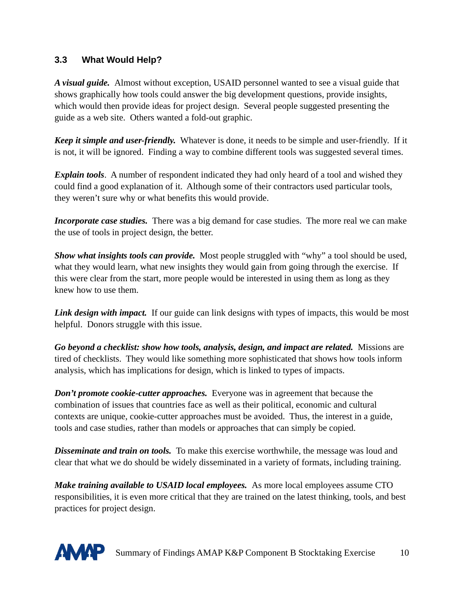#### **3.3 What Would Help?**

*A visual guide.* Almost without exception, USAID personnel wanted to see a visual guide that shows graphically how tools could answer the big development questions, provide insights, which would then provide ideas for project design. Several people suggested presenting the guide as a web site. Others wanted a fold-out graphic.

*Keep it simple and user-friendly.* Whatever is done, it needs to be simple and user-friendly. If it is not, it will be ignored. Finding a way to combine different tools was suggested several times.

*Explain tools*. A number of respondent indicated they had only heard of a tool and wished they could find a good explanation of it. Although some of their contractors used particular tools, they weren't sure why or what benefits this would provide.

*Incorporate case studies.* There was a big demand for case studies. The more real we can make the use of tools in project design, the better.

*Show what insights tools can provide.* Most people struggled with "why" a tool should be used, what they would learn, what new insights they would gain from going through the exercise. If this were clear from the start, more people would be interested in using them as long as they knew how to use them.

*Link design with impact.* If our guide can link designs with types of impacts, this would be most helpful. Donors struggle with this issue.

*Go beyond a checklist: show how tools, analysis, design, and impact are related.* Missions are tired of checklists. They would like something more sophisticated that shows how tools inform analysis, which has implications for design, which is linked to types of impacts.

*Don't promote cookie-cutter approaches.* Everyone was in agreement that because the combination of issues that countries face as well as their political, economic and cultural contexts are unique, cookie-cutter approaches must be avoided. Thus, the interest in a guide, tools and case studies, rather than models or approaches that can simply be copied.

*Disseminate and train on tools.* To make this exercise worthwhile, the message was loud and clear that what we do should be widely disseminated in a variety of formats, including training.

*Make training available to USAID local employees.* As more local employees assume CTO responsibilities, it is even more critical that they are trained on the latest thinking, tools, and best practices for project design.

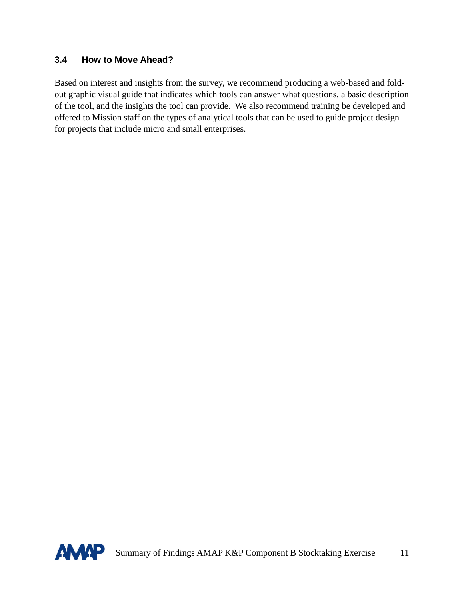#### **3.4 How to Move Ahead?**

Based on interest and insights from the survey, we recommend producing a web-based and foldout graphic visual guide that indicates which tools can answer what questions, a basic description of the tool, and the insights the tool can provide. We also recommend training be developed and offered to Mission staff on the types of analytical tools that can be used to guide project design for projects that include micro and small enterprises.